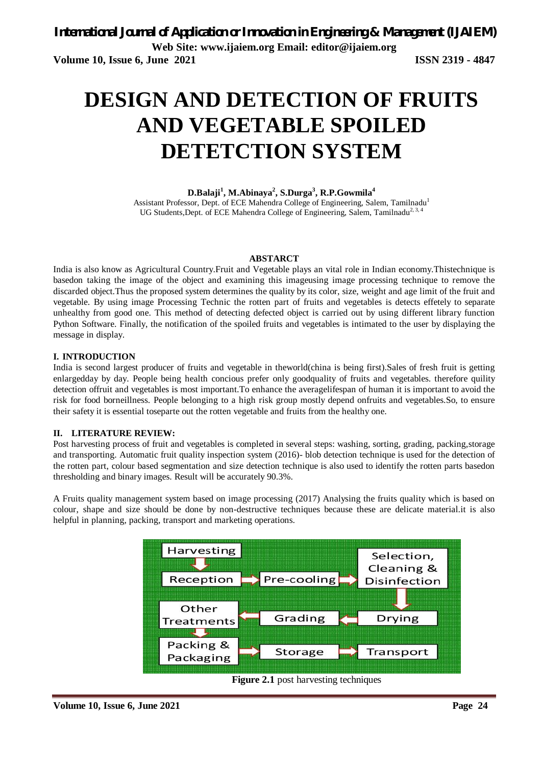# **DESIGN AND DETECTION OF FRUITS AND VEGETABLE SPOILED DETETCTION SYSTEM**

#### **D.Balaji<sup>1</sup> , M.Abinaya<sup>2</sup> , S.Durga<sup>3</sup> , R.P.Gowmila<sup>4</sup>**

Assistant Professor, Dept. of ECE Mahendra College of Engineering, Salem, Tamilnadu<sup>1</sup> UG Students, Dept. of ECE Mahendra College of Engineering, Salem, Tamilnadu<sup>2, 3, 4</sup>

#### **ABSTARCT**

India is also know as Agricultural Country.Fruit and Vegetable plays an vital role in Indian economy.Thistechnique is basedon taking the image of the object and examining this imageusing image processing technique to remove the discarded object.Thus the proposed system determines the quality by its color, size, weight and age limit of the fruit and vegetable. By using image Processing Technic the rotten part of fruits and vegetables is detects effetely to separate unhealthy from good one. This method of detecting defected object is carried out by using different library function Python Software. Finally, the notification of the spoiled fruits and vegetables is intimated to the user by displaying the message in display.

#### **I. INTRODUCTION**

India is second largest producer of fruits and vegetable in theworld(china is being first).Sales of fresh fruit is getting enlargedday by day. People being health concious prefer only goodquality of fruits and vegetables. therefore quility detection offruit and vegetables is most important.To enhance the averagelifespan of human it is important to avoid the risk for food borneillness. People belonging to a high risk group mostly depend onfruits and vegetables.So, to ensure their safety it is essential toseparte out the rotten vegetable and fruits from the healthy one.

#### **II. LITERATURE REVIEW:**

Post harvesting process of fruit and vegetables is completed in several steps: washing, sorting, grading, packing, storage and transporting. Automatic fruit quality inspection system (2016)- blob detection technique is used for the detection of the rotten part, colour based segmentation and size detection technique is also used to identify the rotten parts basedon thresholding and binary images. Result will be accurately 90.3%.

A Fruits quality management system based on image processing (2017) Analysing the fruits quality which is based on colour, shape and size should be done by non-destructive techniques because these are delicate material.it is also helpful in planning, packing, transport and marketing operations.



**Figure 2.1** post harvesting techniques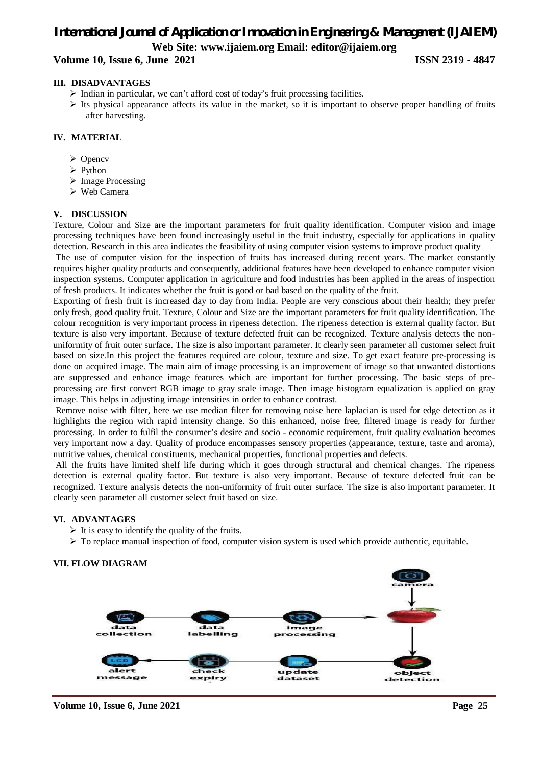**Volume 10, Issue 6, June 2021 ISSN 2319 - 4847** 

#### **III. DISADVANTAGES**

- $\triangleright$  Indian in particular, we can't afford cost of today's fruit processing facilities.
- $\triangleright$  Its physical appearance affects its value in the market, so it is important to observe proper handling of fruits after harvesting.

#### **IV. MATERIAL**

- **≻** Opencv
- $\triangleright$  Python
- $\triangleright$  Image Processing
- Web Camera

#### **V. DISCUSSION**

Texture, Colour and Size are the important parameters for fruit quality identification. Computer vision and image processing techniques have been found increasingly useful in the fruit industry, especially for applications in quality detection. Research in this area indicates the feasibility of using computer vision systems to improve product quality

The use of computer vision for the inspection of fruits has increased during recent years. The market constantly requires higher quality products and consequently, additional features have been developed to enhance computer vision inspection systems. Computer application in agriculture and food industries has been applied in the areas of inspection of fresh products. It indicates whether the fruit is good or bad based on the quality of the fruit.

Exporting of fresh fruit is increased day to day from India. People are very conscious about their health; they prefer only fresh, good quality fruit. Texture, Colour and Size are the important parameters for fruit quality identification. The colour recognition is very important process in ripeness detection. The ripeness detection is external quality factor. But texture is also very important. Because of texture defected fruit can be recognized. Texture analysis detects the nonuniformity of fruit outer surface. The size is also important parameter. It clearly seen parameter all customer select fruit based on size.In this project the features required are colour, texture and size. To get exact feature pre-processing is done on acquired image. The main aim of image processing is an improvement of image so that unwanted distortions are suppressed and enhance image features which are important for further processing. The basic steps of preprocessing are first convert RGB image to gray scale image. Then image histogram equalization is applied on gray image. This helps in adjusting image intensities in order to enhance contrast.

Remove noise with filter, here we use median filter for removing noise here laplacian is used for edge detection as it highlights the region with rapid intensity change. So this enhanced, noise free, filtered image is ready for further processing. In order to fulfil the consumer's desire and socio - economic requirement, fruit quality evaluation becomes very important now a day. Quality of produce encompasses sensory properties (appearance, texture, taste and aroma), nutritive values, chemical constituents, mechanical properties, functional properties and defects.

All the fruits have limited shelf life during which it goes through structural and chemical changes. The ripeness detection is external quality factor. But texture is also very important. Because of texture defected fruit can be recognized. Texture analysis detects the non-uniformity of fruit outer surface. The size is also important parameter. It clearly seen parameter all customer select fruit based on size.

#### **VI. ADVANTAGES**

- $\triangleright$  It is easy to identify the quality of the fruits.
- To replace manual inspection of food, computer vision system is used which provide authentic, equitable.

#### **VII. FLOW DIAGRAM**



**Volume 10, Issue 6, June 2021 Page 25**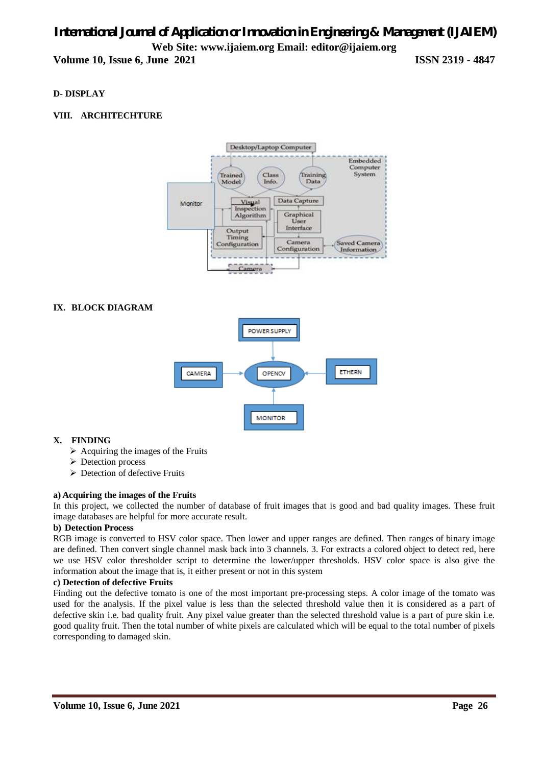# *International Journal of Application or Innovation in Engineering & Management (IJAIEM)* **Web Site: www.ijaiem.org Email: editor@ijaiem.org Volume 10, Issue 6, June 2021 ISSN 2319 - 4847**

### **D- DISPLAY**

### **VIII. ARCHITECHTURE**



#### **IX. BLOCK DIAGRAM**



#### **X. FINDING**

- $\triangleright$  Acquiring the images of the Fruits
- **Detection process**
- Detection of defective Fruits

#### **a) Acquiring the images of the Fruits**

In this project, we collected the number of database of fruit images that is good and bad quality images. These fruit image databases are helpful for more accurate result.

#### **b) Detection Process**

RGB image is converted to HSV color space. Then lower and upper ranges are defined. Then ranges of binary image are defined. Then convert single channel mask back into 3 channels. 3. For extracts a colored object to detect red, here we use HSV color thresholder script to determine the lower/upper thresholds. HSV color space is also give the information about the image that is, it either present or not in this system

#### **c) Detection of defective Fruits**

Finding out the defective tomato is one of the most important pre-processing steps. A color image of the tomato was used for the analysis. If the pixel value is less than the selected threshold value then it is considered as a part of defective skin i.e. bad quality fruit. Any pixel value greater than the selected threshold value is a part of pure skin i.e. good quality fruit. Then the total number of white pixels are calculated which will be equal to the total number of pixels corresponding to damaged skin.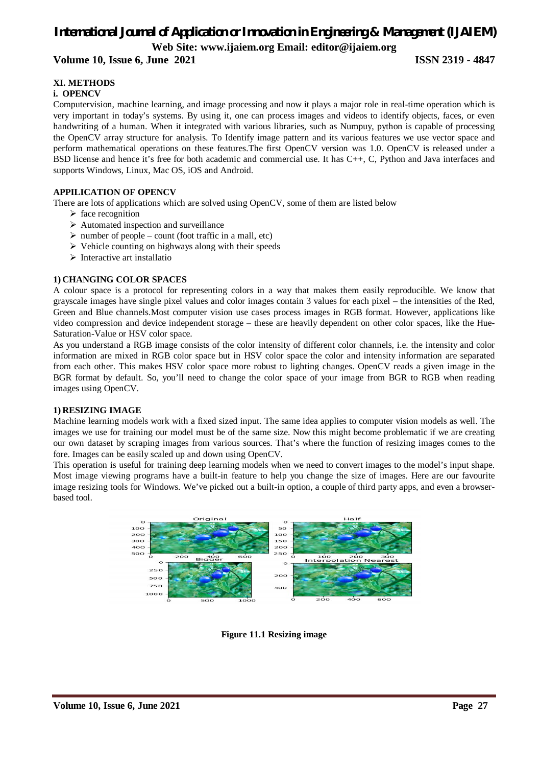#### **Volume 10, Issue 6, June 2021 ISSN 2319 - 4847**

#### **XI. METHODS**

#### **i. OPENCV**

Computervision, machine learning, and image processing and now it plays a major role in real-time operation which is very important in today's systems. By using it, one can process images and videos to identify objects, faces, or even handwriting of a human. When it integrated with various libraries, such as Numpuy, python is capable of processing the OpenCV array structure for analysis. To Identify image pattern and its various features we use vector space and perform mathematical operations on these features.The first OpenCV version was 1.0. OpenCV is released under a BSD license and hence it's free for both academic and commercial use. It has C++, C, Python and Java interfaces and supports Windows, Linux, Mac OS, iOS and Android.

#### **APPILICATION OF OPENCV**

There are lots of applications which are solved using OpenCV, some of them are listed below

- $\triangleright$  face recognition
- $\triangleright$  Automated inspection and surveillance
- $\triangleright$  number of people count (foot traffic in a mall, etc)
- $\triangleright$  Vehicle counting on highways along with their speeds
- $\triangleright$  Interactive art installatio

#### **1) CHANGING COLOR SPACES**

A colour space is a protocol for representing colors in a way that makes them easily reproducible. We know that grayscale images have single pixel values and color images contain 3 values for each pixel – the intensities of the Red, Green and Blue channels.Most computer vision use cases process images in RGB format. However, applications like video compression and device independent storage – these are heavily dependent on other color spaces, like the Hue-Saturation-Value or HSV color space.

As you understand a RGB image consists of the color intensity of different color channels, i.e. the intensity and color information are mixed in RGB color space but in HSV color space the color and intensity information are separated from each other. This makes HSV color space more robust to lighting changes. OpenCV reads a given image in the BGR format by default. So, you'll need to change the color space of your image from BGR to RGB when reading images using OpenCV.

#### **1) RESIZING IMAGE**

Machine learning models work with a fixed sized input. The same idea applies to computer vision models as well. The images we use for training our model must be of the same size. Now this might become problematic if we are creating our own dataset by scraping images from various sources. That's where the function of resizing images comes to the fore. Images can be easily scaled up and down using OpenCV.

This operation is useful for training deep learning models when we need to convert images to the model's input shape. Most image viewing programs have a built-in feature to help you change the size of images. Here are our favourite image resizing tools for Windows. We've picked out a built-in option, a couple of third party apps, and even a browserbased tool.



**Figure 11.1 Resizing image**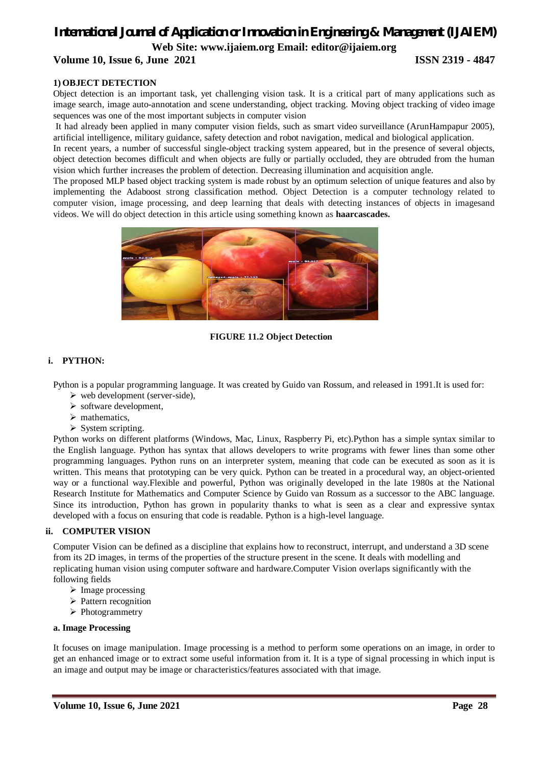#### **Volume 10, Issue 6, June 2021 ISSN 2319 - 4847**

#### **1) OBJECT DETECTION**

Object detection is an important task, yet challenging vision task. It is a critical part of many applications such as image search, image auto-annotation and scene understanding, object tracking. Moving object tracking of video image sequences was one of the most important subjects in computer vision

It had already been applied in many computer vision fields, such as smart video surveillance (ArunHampapur 2005), artificial intelligence, military guidance, safety detection and robot navigation, medical and biological application.

In recent years, a number of successful single-object tracking system appeared, but in the presence of several objects, object detection becomes difficult and when objects are fully or partially occluded, they are obtruded from the human vision which further increases the problem of detection. Decreasing illumination and acquisition angle.

The proposed MLP based object tracking system is made robust by an optimum selection of unique features and also by implementing the Adaboost strong classification method. Object Detection is a computer technology related to computer vision, image processing, and deep learning that deals with detecting instances of objects in imagesand videos. We will do object detection in this article using something known as **haarcascades.**



**FIGURE 11.2 Object Detection**

#### **i. PYTHON:**

Python is a popular programming language. It was created by Guido van Rossum, and released in 1991.It is used for:

- $\triangleright$  web development (server-side),
- $\triangleright$  software development,
- $\triangleright$  mathematics,
- $\triangleright$  System scripting.

Python works on different platforms (Windows, Mac, Linux, Raspberry Pi, etc).Python has a simple syntax similar to the English language. Python has syntax that allows developers to write programs with fewer lines than some other programming languages. Python runs on an interpreter system, meaning that code can be executed as soon as it is written. This means that prototyping can be very quick. Python can be treated in a procedural way, an object-oriented way or a functional way.Flexible and powerful, Python was originally developed in the late 1980s at the National Research Institute for Mathematics and Computer Science by Guido van Rossum as a successor to the ABC language. Since its introduction, Python has grown in popularity thanks to what is seen as a clear and expressive syntax developed with a focus on ensuring that code is readable. Python is a high-level language.

#### **ii. COMPUTER VISION**

Computer Vision can be defined as a discipline that explains how to reconstruct, interrupt, and understand a 3D scene from its 2D images, in terms of the properties of the structure present in the scene. It deals with modelling and replicating human vision using computer software and hardware.Computer Vision overlaps significantly with the following fields

- $\triangleright$  Image processing
- $\triangleright$  Pattern recognition
- > Photogrammetry

#### **a. Image Processing**

It focuses on image manipulation. Image processing is a method to perform some operations on an image, in order to get an enhanced image or to extract some useful information from it. It is a type of signal processing in which input is an image and output may be image or characteristics/features associated with that image.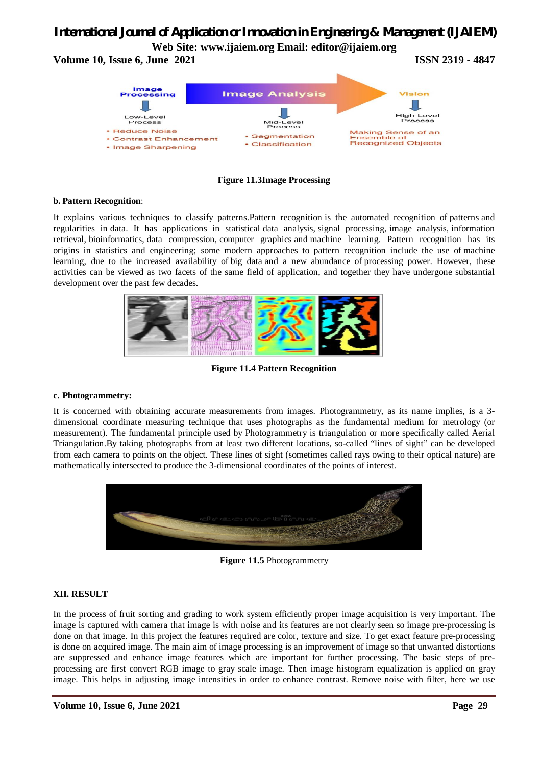# *International Journal of Application or Innovation in Engineering & Management (IJAIEM)*

**Web Site: www.ijaiem.org Email: editor@ijaiem.org**

**Volume 10, Issue 6, June 2021 ISSN 2319 - 4847** 



**Figure 11.3Image Processing**

#### **b. Pattern Recognition**:

It explains various techniques to classify patterns.Pattern recognition is the automated recognition of patterns and regularities in data. It has applications in statistical data analysis, signal processing, image analysis, information retrieval, bioinformatics, data compression, computer graphics and machine learning. Pattern recognition has its origins in statistics and engineering; some modern approaches to pattern recognition include the use of machine learning, due to the increased availability of big data and a new abundance of processing power. However, these activities can be viewed as two facets of the same field of application, and together they have undergone substantial development over the past few decades.



**Figure 11.4 Pattern Recognition**

#### **c. Photogrammetry:**

It is concerned with obtaining accurate measurements from images. Photogrammetry, as its name implies, is a 3 dimensional coordinate measuring technique that uses photographs as the fundamental medium for metrology (or measurement). The fundamental principle used by Photogrammetry is triangulation or more specifically called Aerial Triangulation.By taking photographs from at least two different locations, so-called "lines of sight" can be developed from each camera to points on the object. These lines of sight (sometimes called rays owing to their optical nature) are mathematically intersected to produce the 3-dimensional coordinates of the points of interest.



**Figure 11.5** Photogrammetry

#### **XII. RESULT**

In the process of fruit sorting and grading to work system efficiently proper image acquisition is very important. The image is captured with camera that image is with noise and its features are not clearly seen so image pre-processing is done on that image. In this project the features required are color, texture and size. To get exact feature pre-processing is done on acquired image. The main aim of image processing is an improvement of image so that unwanted distortions are suppressed and enhance image features which are important for further processing. The basic steps of preprocessing are first convert RGB image to gray scale image. Then image histogram equalization is applied on gray image. This helps in adjusting image intensities in order to enhance contrast. Remove noise with filter, here we use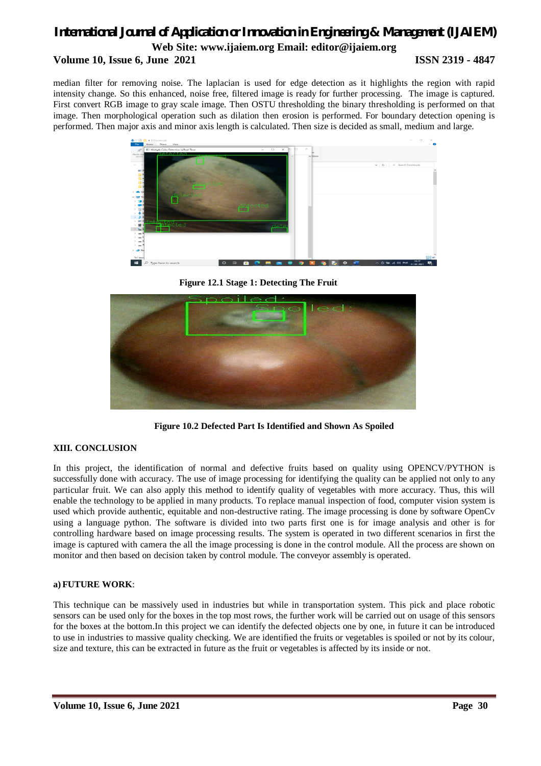# *International Journal of Application or Innovation in Engineering & Management (IJAIEM)* **Web Site: www.ijaiem.org Email: editor@ijaiem.org Volume 10, Issue 6, June 2021 ISSN 2319 - 4847**

median filter for removing noise. The laplacian is used for edge detection as it highlights the region with rapid intensity change. So this enhanced, noise free, filtered image is ready for further processing. The image is captured. First convert RGB image to gray scale image. Then OSTU thresholding the binary thresholding is performed on that image. Then morphological operation such as dilation then erosion is performed. For boundary detection opening is performed. Then major axis and minor axis length is calculated. Then size is decided as small, medium and large.



**Figure 12.1 Stage 1: Detecting The Fruit**



**Figure 10.2 Defected Part Is Identified and Shown As Spoiled**

#### **XIII. CONCLUSION**

In this project, the identification of normal and defective fruits based on quality using OPENCV/PYTHON is successfully done with accuracy. The use of image processing for identifying the quality can be applied not only to any particular fruit. We can also apply this method to identify quality of vegetables with more accuracy. Thus, this will enable the technology to be applied in many products. To replace manual inspection of food, computer vision system is used which provide authentic, equitable and non-destructive rating. The image processing is done by software OpenCv using a language python. The software is divided into two parts first one is for image analysis and other is for controlling hardware based on image processing results. The system is operated in two different scenarios in first the image is captured with camera the all the image processing is done in the control module. All the process are shown on monitor and then based on decision taken by control module. The conveyor assembly is operated.

#### **a) FUTURE WORK**:

This technique can be massively used in industries but while in transportation system. This pick and place robotic sensors can be used only for the boxes in the top most rows, the further work will be carried out on usage of this sensors for the boxes at the bottom.In this project we can identify the defected objects one by one, in future it can be introduced to use in industries to massive quality checking. We are identified the fruits or vegetables is spoiled or not by its colour, size and texture, this can be extracted in future as the fruit or vegetables is affected by its inside or not.